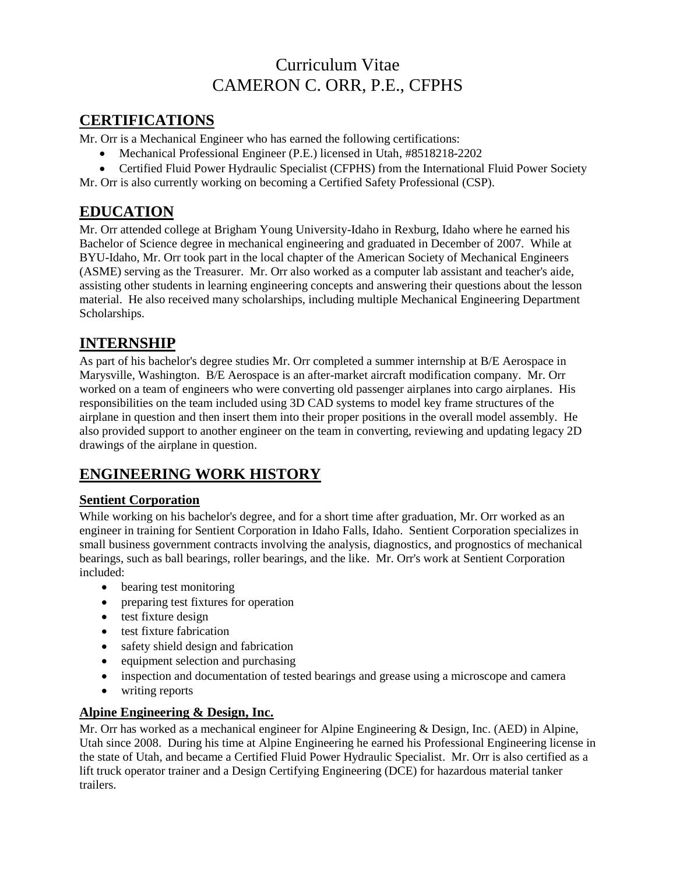# Curriculum Vitae CAMERON C. ORR, P.E., CFPHS

### **CERTIFICATIONS**

Mr. Orr is a Mechanical Engineer who has earned the following certifications:

- Mechanical Professional Engineer (P.E.) licensed in Utah, #8518218-2202
- Certified Fluid Power Hydraulic Specialist (CFPHS) from the International Fluid Power Society

Mr. Orr is also currently working on becoming a Certified Safety Professional (CSP).

## **EDUCATION**

Mr. Orr attended college at Brigham Young University-Idaho in Rexburg, Idaho where he earned his Bachelor of Science degree in mechanical engineering and graduated in December of 2007. While at BYU-Idaho, Mr. Orr took part in the local chapter of the American Society of Mechanical Engineers (ASME) serving as the Treasurer. Mr. Orr also worked as a computer lab assistant and teacher's aide, assisting other students in learning engineering concepts and answering their questions about the lesson material. He also received many scholarships, including multiple Mechanical Engineering Department Scholarships.

## **INTERNSHIP**

As part of his bachelor's degree studies Mr. Orr completed a summer internship at B/E Aerospace in Marysville, Washington. B/E Aerospace is an after-market aircraft modification company. Mr. Orr worked on a team of engineers who were converting old passenger airplanes into cargo airplanes. His responsibilities on the team included using 3D CAD systems to model key frame structures of the airplane in question and then insert them into their proper positions in the overall model assembly. He also provided support to another engineer on the team in converting, reviewing and updating legacy 2D drawings of the airplane in question.

# **ENGINEERING WORK HISTORY**

### **Sentient Corporation**

While working on his bachelor's degree, and for a short time after graduation, Mr. Orr worked as an engineer in training for Sentient Corporation in Idaho Falls, Idaho. Sentient Corporation specializes in small business government contracts involving the analysis, diagnostics, and prognostics of mechanical bearings, such as ball bearings, roller bearings, and the like. Mr. Orr's work at Sentient Corporation included:

- bearing test monitoring
- preparing test fixtures for operation
- test fixture design
- test fixture fabrication
- safety shield design and fabrication
- equipment selection and purchasing
- inspection and documentation of tested bearings and grease using a microscope and camera
- writing reports

### **Alpine Engineering & Design, Inc.**

Mr. Orr has worked as a mechanical engineer for Alpine Engineering & Design, Inc. (AED) in Alpine, Utah since 2008. During his time at Alpine Engineering he earned his Professional Engineering license in the state of Utah, and became a Certified Fluid Power Hydraulic Specialist. Mr. Orr is also certified as a lift truck operator trainer and a Design Certifying Engineering (DCE) for hazardous material tanker trailers.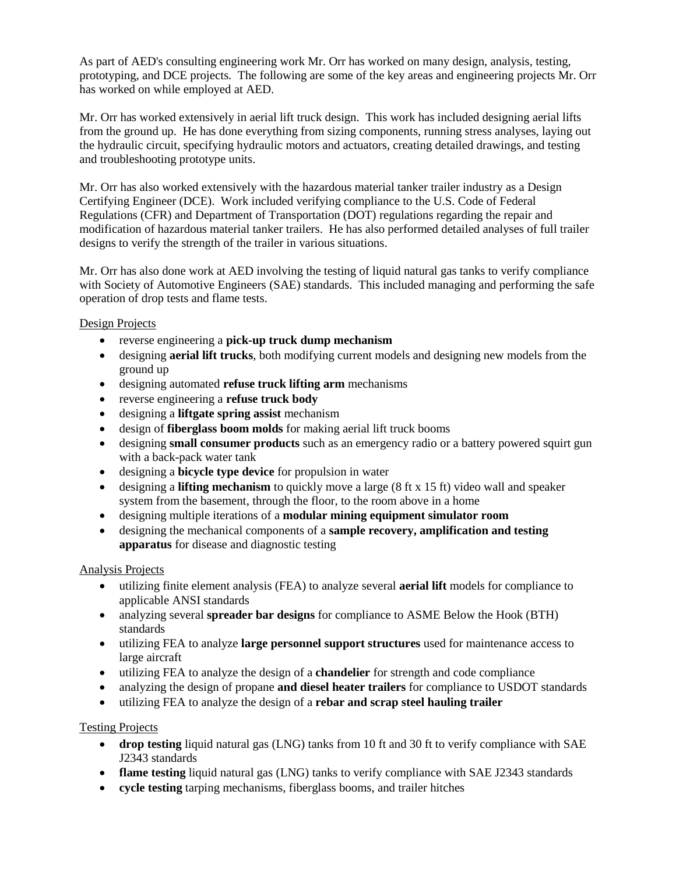As part of AED's consulting engineering work Mr. Orr has worked on many design, analysis, testing, prototyping, and DCE projects. The following are some of the key areas and engineering projects Mr. Orr has worked on while employed at AED.

Mr. Orr has worked extensively in aerial lift truck design. This work has included designing aerial lifts from the ground up. He has done everything from sizing components, running stress analyses, laying out the hydraulic circuit, specifying hydraulic motors and actuators, creating detailed drawings, and testing and troubleshooting prototype units.

Mr. Orr has also worked extensively with the hazardous material tanker trailer industry as a Design Certifying Engineer (DCE). Work included verifying compliance to the U.S. Code of Federal Regulations (CFR) and Department of Transportation (DOT) regulations regarding the repair and modification of hazardous material tanker trailers. He has also performed detailed analyses of full trailer designs to verify the strength of the trailer in various situations.

Mr. Orr has also done work at AED involving the testing of liquid natural gas tanks to verify compliance with Society of Automotive Engineers (SAE) standards. This included managing and performing the safe operation of drop tests and flame tests.

#### Design Projects

- reverse engineering a **pick-up truck dump mechanism**
- designing **aerial lift trucks**, both modifying current models and designing new models from the ground up
- designing automated **refuse truck lifting arm** mechanisms
- reverse engineering a **refuse truck body**
- designing a **liftgate spring assist** mechanism
- design of **fiberglass boom molds** for making aerial lift truck booms
- designing **small consumer products** such as an emergency radio or a battery powered squirt gun with a back-pack water tank
- designing a **bicycle type device** for propulsion in water
- designing a **lifting mechanism** to quickly move a large (8 ft x 15 ft) video wall and speaker system from the basement, through the floor, to the room above in a home
- designing multiple iterations of a **modular mining equipment simulator room**
- designing the mechanical components of a **sample recovery, amplification and testing apparatus** for disease and diagnostic testing

#### Analysis Projects

- utilizing finite element analysis (FEA) to analyze several **aerial lift** models for compliance to applicable ANSI standards
- analyzing several **spreader bar designs** for compliance to ASME Below the Hook (BTH) standards
- utilizing FEA to analyze **large personnel support structures** used for maintenance access to large aircraft
- utilizing FEA to analyze the design of a **chandelier** for strength and code compliance
- analyzing the design of propane **and diesel heater trailers** for compliance to USDOT standards
- utilizing FEA to analyze the design of a **rebar and scrap steel hauling trailer**

#### Testing Projects

- **drop testing** liquid natural gas (LNG) tanks from 10 ft and 30 ft to verify compliance with SAE J2343 standards
- **flame testing** liquid natural gas (LNG) tanks to verify compliance with SAE J2343 standards
- **cycle testing** tarping mechanisms, fiberglass booms, and trailer hitches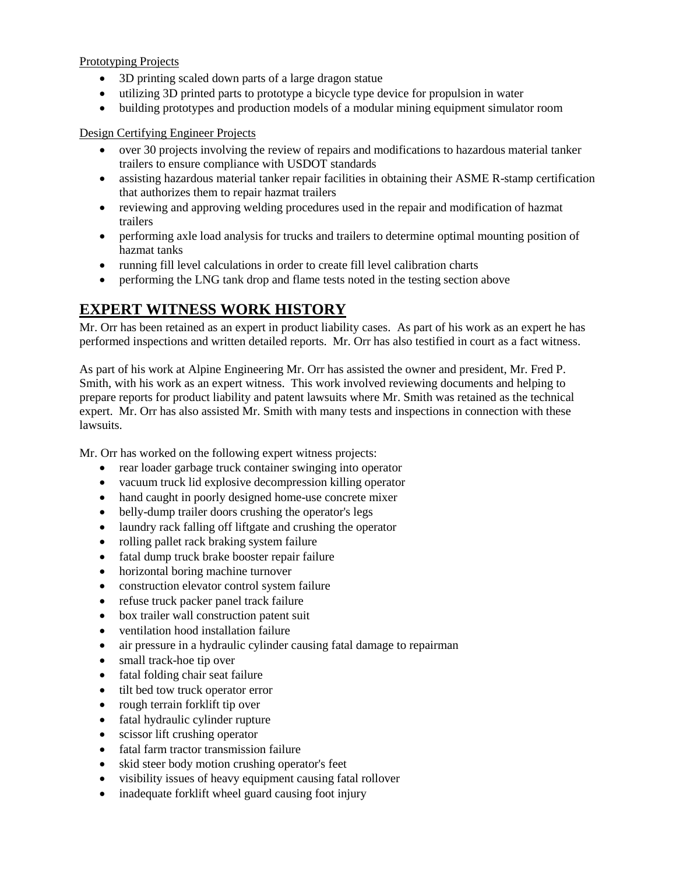Prototyping Projects

- 3D printing scaled down parts of a large dragon statue
- utilizing 3D printed parts to prototype a bicycle type device for propulsion in water
- building prototypes and production models of a modular mining equipment simulator room

#### Design Certifying Engineer Projects

- over 30 projects involving the review of repairs and modifications to hazardous material tanker trailers to ensure compliance with USDOT standards
- assisting hazardous material tanker repair facilities in obtaining their ASME R-stamp certification that authorizes them to repair hazmat trailers
- reviewing and approving welding procedures used in the repair and modification of hazmat trailers
- performing axle load analysis for trucks and trailers to determine optimal mounting position of hazmat tanks
- running fill level calculations in order to create fill level calibration charts
- performing the LNG tank drop and flame tests noted in the testing section above

### **EXPERT WITNESS WORK HISTORY**

Mr. Orr has been retained as an expert in product liability cases. As part of his work as an expert he has performed inspections and written detailed reports. Mr. Orr has also testified in court as a fact witness.

As part of his work at Alpine Engineering Mr. Orr has assisted the owner and president, Mr. Fred P. Smith, with his work as an expert witness. This work involved reviewing documents and helping to prepare reports for product liability and patent lawsuits where Mr. Smith was retained as the technical expert. Mr. Orr has also assisted Mr. Smith with many tests and inspections in connection with these lawsuits.

Mr. Orr has worked on the following expert witness projects:

- rear loader garbage truck container swinging into operator
- vacuum truck lid explosive decompression killing operator
- hand caught in poorly designed home-use concrete mixer
- belly-dump trailer doors crushing the operator's legs
- laundry rack falling off liftgate and crushing the operator
- rolling pallet rack braking system failure
- fatal dump truck brake booster repair failure
- horizontal boring machine turnover
- construction elevator control system failure
- refuse truck packer panel track failure
- box trailer wall construction patent suit
- ventilation hood installation failure
- air pressure in a hydraulic cylinder causing fatal damage to repairman
- small track-hoe tip over
- fatal folding chair seat failure
- tilt bed tow truck operator error
- rough terrain forklift tip over
- fatal hydraulic cylinder rupture
- scissor lift crushing operator
- fatal farm tractor transmission failure
- skid steer body motion crushing operator's feet
- visibility issues of heavy equipment causing fatal rollover
- inadequate forklift wheel guard causing foot injury